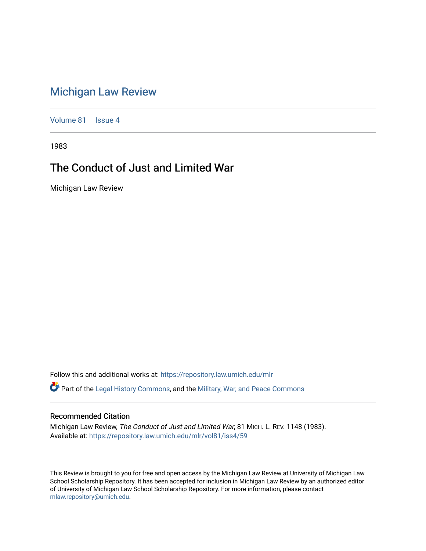## [Michigan Law Review](https://repository.law.umich.edu/mlr)

[Volume 81](https://repository.law.umich.edu/mlr/vol81) | [Issue 4](https://repository.law.umich.edu/mlr/vol81/iss4)

1983

## The Conduct of Just and Limited War

Michigan Law Review

Follow this and additional works at: [https://repository.law.umich.edu/mlr](https://repository.law.umich.edu/mlr?utm_source=repository.law.umich.edu%2Fmlr%2Fvol81%2Fiss4%2F59&utm_medium=PDF&utm_campaign=PDFCoverPages) 

Part of the [Legal History Commons](http://network.bepress.com/hgg/discipline/904?utm_source=repository.law.umich.edu%2Fmlr%2Fvol81%2Fiss4%2F59&utm_medium=PDF&utm_campaign=PDFCoverPages), and the [Military, War, and Peace Commons](http://network.bepress.com/hgg/discipline/861?utm_source=repository.law.umich.edu%2Fmlr%2Fvol81%2Fiss4%2F59&utm_medium=PDF&utm_campaign=PDFCoverPages) 

## Recommended Citation

Michigan Law Review, The Conduct of Just and Limited War, 81 MICH. L. REV. 1148 (1983). Available at: [https://repository.law.umich.edu/mlr/vol81/iss4/59](https://repository.law.umich.edu/mlr/vol81/iss4/59?utm_source=repository.law.umich.edu%2Fmlr%2Fvol81%2Fiss4%2F59&utm_medium=PDF&utm_campaign=PDFCoverPages) 

This Review is brought to you for free and open access by the Michigan Law Review at University of Michigan Law School Scholarship Repository. It has been accepted for inclusion in Michigan Law Review by an authorized editor of University of Michigan Law School Scholarship Repository. For more information, please contact [mlaw.repository@umich.edu.](mailto:mlaw.repository@umich.edu)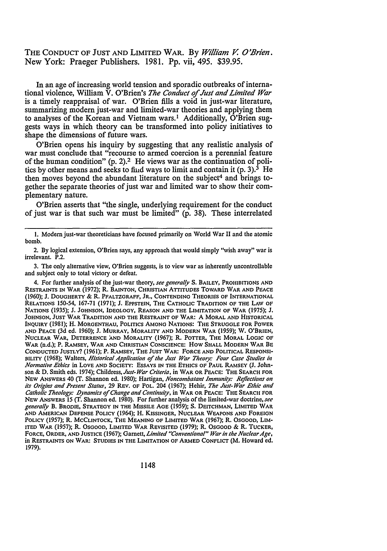## THE CONDUCT OF JUST AND LIMITED WAR. By *Wi//iam* V. *O'Brien.*  New York: Praeger Publishers. 1981. Pp. vii, 495. \$39.95.

In an age of increasing world tension and sporadic outbreaks of international violence, William V. O'Brien's *The Conduct of Just and Limited War*  is a timely reappraisal of war. O'Brien fills a void in just-war literature, summarizing modem just-war and limited-war theories and applying them to analyses of the Korean and Vietnam wars.<sup>1</sup> Additionally, O'Brien suggests ways in which theory can be transformed into policy initiatives to shape the dimensions of future wars.

O'Brien opens his inquiry by suggesting that any realistic analysis of war must conclude that "recourse to armed coercion is a perennial feature of the human condition" (p. 2).2 He views war as the continuation of politics by other means and seeks to find ways to limit and contain it  $(p. 3)$ .<sup>3</sup> He then moves beyond the abundant literature on the subject<sup>4</sup> and brings together the separate theories of just war and limited war to show their complementary nature.

O'Brien asserts that "the single, underlying requirement for the conduct of just war is that such war must be limited" (p. 38). These interrelated

<sup>1.</sup> Modem just-war theoreticians have focused primarily on World War II and the atomic bomb.

<sup>2.</sup> By logical extension, O'Brien says, any approach that would simply "wish away" war is irrelevant. P.2.

<sup>3.</sup> The only alternative view, O'Brien suggests, is to view war as inherently uncontrollable and subject only to total victory or defeat.

<sup>4.</sup> For further analysis of the just-war theory, *see generally* S. BAILEY, PROHIBITIONS AND RESTRAINTS IN WAR (1972); R. BAINTON, CHRISTIAN ATTITUDES TOWARD WAR AND PEACE (1960); J. DOUGHERTY & **R.** PFALTZGRAFF, JR., CONTENDING THEORIES OF INTERNATIONAL RELATIONS 150-54, 167-71 (1971); J. EPPSTEIN, THE CATHOLIC TRADITION OF THE LAW OF NATIONS (1935); J. JOHNSON, IDEOLOGY, REASON AND THE LIMITATION OF WAR (1975); J, JOHNSON, JUST WAR TRADITION AND THE RESTRAINT OF WAR: A MORAL AND HISTORICAL INQUIRY (1981); H. MORGENTHAU, POLITICS AMONG NATIONS: THE STRUGGLE FOR POWER AND PEACE (3d ed. 1960); J. MURRAY, MORALITY AND MODERN WAR (1959); W. O'BRIEN, NUCLEAR WAR, DETERRENCE AND MORALITY (1967); R. POTTER, THE MORAL LOGIC OF WAR (n.d.); P. RAMSEY, WAR AND CHRISTIAN CONSCIENCE: How SHALL MODERN WAR BE CONDUCTED JUSTLY? (1961); P. RAMSEY, THE JUST WAR: FORCE AND POLITICAL RESPONSI-BILITY (1968); Walters, *Historical Application of the Just War Theory: Four Case Studies in Normative Ethics* in LOVE AND SOCIETY: ESSAYS IN THE ETHICS OF PAUL RAMSEY (J, Johnson & D. Smith eds. 1974); *Childress,Just-War Criteria,* in WAR OR PEACE: THE SEARCH FOR NEW ANSWERS 40 (T. Shannon ed. 1980); Hartigan, *Noncombatant lmmunil):· Reflections on its Origins and Present Status,* 29 REV. OF PoL. 204 (1967); Hehir, *The Just-War Et/lie and Catholic Theology: .Dynamics* of *Change and Continuity,* in WAR OR PEACE: THE SEARCH FOR NEW ANSWERS 15 (T. Shannon ed. 1980). For further analysis of the limited-war doctrine, *see generally* B. BRODIE, STRATEGY IN THE MISSILE AGE (1959); s. DEJTCHMAN, LIMITED WAR AND AMERICAN DEFENSE POLICY (1964); H. KISSINGER, NUCLEAR WEAPONS AND FOREIGN POLICY (1957); R. MCCLINTOCK, THE MEANING OF LIMITED WAR (1967); R. OSGOOD, LIM· ITED WAR (1957); R. OSGOOD, LIMITED WAR REVISITED (1979); R. OSGOOD & R. TUCKER, FORCE, ORDER, AND JUSTICE (1967); Garnett, *Limited "Conventional" War in the Nuclear Age,*  in RESTRAINTS ON WAR: STUDIES IN THE LIMITATION OF ARMED CONFLICT (M, Howard ed. 1979).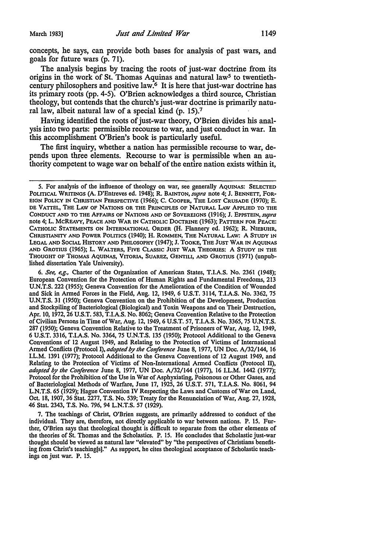concepts, he says, can provide both bases for analysis of past wars, and goals for future wars (p. 71).

The analysis begins by tracing the roots of just-war doctrine from its origins in the work of St. Thomas Aquinas and natural law<sup>5</sup> to twentiethcentury philosophers and positive law. $6$  It is here that just-war doctrine has its primary roots (pp. 4-5). O'Brien acknowledges a third source, Christian theology, but contends that the church's just-war doctrine is primarily natural law, albeit natural law of a special kind (p. 15).<sup>7</sup>

Having identified the roots of just-war theory, O'Brien divides his analysis into two parts: permissible recourse to war, and just conduct in war. In this accomplishment O'Brien's book is particularly useful.

The first inquiry, whether a nation has permissible recourse to war, depends upon three elements. Recourse to war is permissible when an authority competent to wage war on behalf of the entire nation exists within it,

6. *See, e,g.,* Charter of the Organization of American States, T.I.A.S. No. 2361 (1948); European Convention for the Protection of Human Rights and Fundamental Freedoms, 213 U.N.T.S. 222 (1955); Geneva Convention for the Amelioration of the Condition of Wounded and Sick in Armed Forces in the Field, Aug. 12, 1949, 6 U.S.T. 3114, T.I.A.S. No. 3362, 75 U.N.T.S. 31 (1950); Geneva Convention on the Prohibition of the Development, Production and Stockpiling of Bacteriological (Biological) and Toxin Weapons and on Their Destruction, Apr. 10, 1972, 26 U.S.T. 583, T.I.A.S. No. 8062; Geneva Convention Relative to the Protection of Civilian Persons in Time ofWar, Aug. 12, 1949, 6 U.S.T. 57, T.I.A.S. No. 3365, 75 U.N.T.S. 287 (1950); Geneva Convention Relative to the Treatment of Prisoners of War, Aug. 12, 1949, 6 U.S.T. 3316, T.I.A.S. No. 3364, 75 U.N.T.S. 135 (1950); Protocol Additional to the Geneva Conventions of 12 August 1949, and Relating to the Protection of Victims of International Armed Conflicts (Protocol I), *adopted* by *the Conference* June 8, 1977, UN Doc. A/32/144, 16 I.L.M. 1391 (1977); Protocol Additional to the Geneva Conventions of 12 August 1949, and Relating to the Protection of Victims of Non-International Armed Conflicts (Protocol II), *adopted* by *the Conference* June 8, 1977, UN Doc. A/32/144 (1977), 16 I.L.M. 1442 (1977); Protocol for the Prohibition of the Use in War of Asphyxiating, Poisonous or Other Gases, and of Bacteriological Methods of Warfare, June 17, 1925, 26 U.S.T. 571, T.I.A.S. No. 8061, 94 L.N.T.S. 65 (1929); Hague Convention IV Respecting the Laws and Customs of War on Land, Oct. 18, 1907, 36 Stat. 2277, T.S. No. 539; Treaty for the Renunciation of War, Aug. 27, 1928, 46 Stat. 2343, T.S. No. 796, 94 L.N.T.S. 57 (1929).

7. The teachings of Christ, O'Brien suggests, are primarily addressed to conduct of the individual. They are, therefore, not directly applicable to war between nations. P. 15. Further, O'Brien says that theological thought is difficult to separate from the other elements of the theories of St. Thomas and the Scholastics. P. 15. He concludes that Scholastic just-war thought should be viewed as natural law "elevated" by ''the perspectives of Christians benefiting from Christ's teaching[s)." As support, he cites theological acceptance of Scholastic teachings on just war. P. 15.

*<sup>5.</sup>* For analysis of the influence of theology on war, see generally AQUINAS: SELECTED POLITICAL WRITINGS (A. D'Entreves ed. 1948); R. BAINTON, *supra* note 4; J. BENNETT, FOR-EIGN POLICY IN CHRISTIAN PERSPECTIVE (1966); C. COOPER, THE LosT CRUSADE (1970); E. DE VATTEL, THE LAW OF NATIONS OR THE PRINCIPLES OF NATURAL LAW APPLIED TO THE CONDUCT AND TO THE AFFAIRS OF NATIONS AND OF SOVEREIGNS (1916); J. EPPSTEIN, *supra*  note 4; L. McREAVY, PEACE AND WAR IN CATHOLIC DOCTRINE (1963); PATTERN FOR PEACE: CATHOLIC STATEMENTS ON INTERNATIONAL ORDER (H. Flannery ed. 1962); R. NIEBUHR, CHRISTIANITY AND POWER POLITICS (1940); H. ROMMEN, THE NATURAL LAW: A STUDY lN LEGAL AND SOCIAL HISTORY AND PHILOSOPHY (1947); J. TOOKE, THE JUST WAR IN AQUINAS AND GROTIUS (1965); L. WALTERS, FIVE CLASSIC JUST WAR THEORIES: A STUDY IN THE THOUGHT OF THOMAS AQUINAS, VITORIA, SUAREZ, GENTILI, AND GROTIUS (1971) (unpublished dissertation Yale University).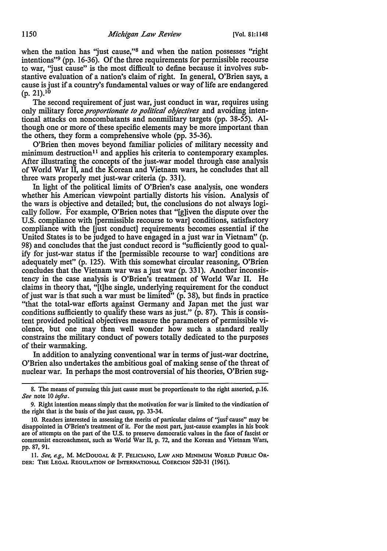when the nation has "just cause,"<sup>8</sup> and when the nation possesses "right intentions"<sup>9</sup>(pp. 16-36). Of the three requirements for permissible recourse to war, 'just cause" is the most difficult to define because it involves substantive evaluation of a nation's claim of right. In general, O'Brien says, a cause is just if a country's fundamental values or way of life are endangered  $(p. 21).^{10}$ 

The second requirement of just war, just conduct in war, requires using only military force *proportionate to political objectives* and avoiding intentional attacks on noncombatants and nonmilitary targets (pp. 38-55). Although one or more of these specific elements may be more important than the others, they form a comprehensive whole (pp. 35-36).

O'Brien then moves beyond familiar policies of military necessity and minimum destruction<sup>11</sup> and applies his criteria to contemporary examples. After illustrating the concepts of the just-war model through case analysis of World War II, and the Korean and Vietnam wars, he concludes that all three wars properly met just-war criteria (p. 331).

In light of the political limits of O'Brien's case analysis, one wonders whether his American viewpoint partially distorts his vision. Analysis of the wars is objective and detailed; but, the conclusions do not always logically follow. For example, O'Brien notes that "[g]iven the dispute over the U.S. compliance with [permissible recourse to war] conditions, satisfactory compliance with the fiust conduct] requirements becomes essential if the United States is to be judged to have engaged in a just war in Vietnam" (p. 98) and concludes that the just conduct record is "sufficiently good to qualify for just-war status if the [permissible recourse to war] conditions are adequately met" (p. 125). With this somewhat circular reasoning, O'Brien concludes that the Vietnam war was a just war (p. 331). Another inconsistency in the case analysis is O'Brien's treatment of World War II. He claims in theory that, "[t]he single, underlying requirement for the conduct of just war is that such a war must be limited" (p. 38), but finds in practice "that the total-war efforts against Germany and Japan met the just war conditions sufficiently to qualify these wars as just." (p. 87). This is consistent provided political objectives measure the parameters of permissible violence, but one may then well wonder how such a standard really constrains the military conduct of powers totally dedicated to the purposes of their warmaking.

In addition to analyzing conventional war in terms of just-war doctrine, O'Brien also undertakes the ambitious goal of making sense of the threat of nuclear war. In perhaps the most controversial of his theories, O'Brien sug-

<sup>8.</sup> The means of pursuing this just cause must be proportionate to the right asserted, p.16. *See* note 10 *infra.* 

<sup>9.</sup> Right intention means simply that the motivation for war is limited to the vindication of the right that is the basis of the just cause, pp. 33-34.

<sup>10.</sup> Readers interested in assessing the merits of particular claims of "just cause" may be disappointed in O'Brien's treatment of it. For the most part, just-cause examples in his book are of attempts on the part of the U.S. to preserve democratic values in the face of fascist or communist encroachment, such as World War II, p. 72, and the Korean and Vietnam Wars, pp. 87, 91.

<sup>11.</sup> *See, e.g.,* M. McDOUGAL & F. FELICIANO, LAW AND MINIMUM WORLD PUBLIC OR-DER: THE LEGAL REGULATION OF INTERNATIONAL COERCION 520-31 (1961),